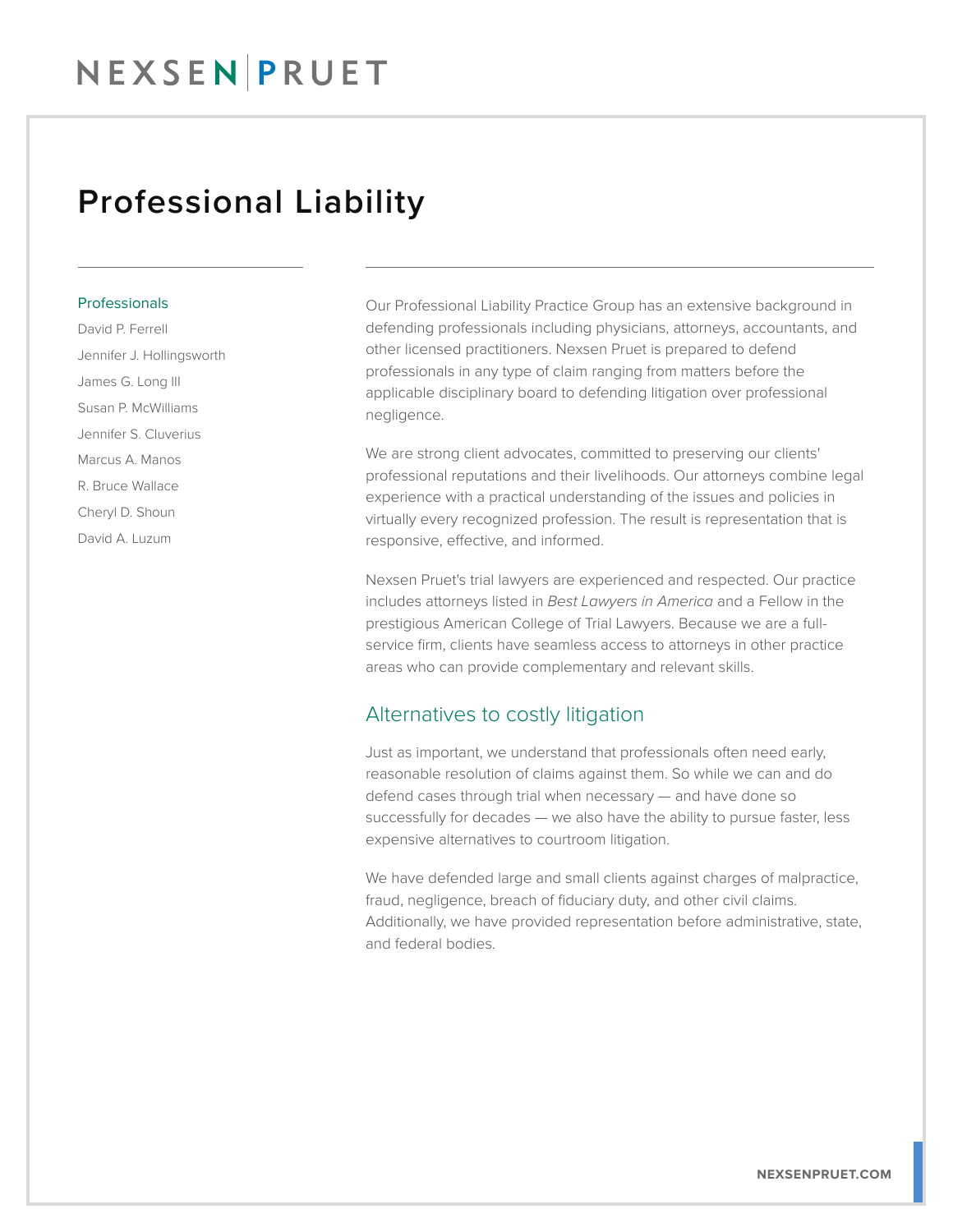### Professional Liability

#### Professionals

David P. Ferrell Jennifer J. Hollingsworth James G. Long III Susan P. McWilliams Jennifer S. Cluverius Marcus A. Manos R. Bruce Wallace Cheryl D. Shoun David A. Luzum

Our Professional Liability Practice Group has an extensive background in defending professionals including physicians, attorneys, accountants, and other licensed practitioners. Nexsen Pruet is prepared to defend professionals in any type of claim ranging from matters before the applicable disciplinary board to defending litigation over professional negligence.

We are strong client advocates, committed to preserving our clients' professional reputations and their livelihoods. Our attorneys combine legal experience with a practical understanding of the issues and policies in virtually every recognized profession. The result is representation that is responsive, effective, and informed.

Nexsen Pruet's trial lawyers are experienced and respected. Our practice includes attorneys listed in *Best Lawyers in America* and a Fellow in the prestigious American College of Trial Lawyers. Because we are a fullservice firm, clients have seamless access to attorneys in other practice areas who can provide complementary and relevant skills.

### Alternatives to costly litigation

Just as important, we understand that professionals often need early, reasonable resolution of claims against them. So while we can and do defend cases through trial when necessary — and have done so successfully for decades — we also have the ability to pursue faster, less expensive alternatives to courtroom litigation.

We have defended large and small clients against charges of malpractice, fraud, negligence, breach of fiduciary duty, and other civil claims. Additionally, we have provided representation before administrative, state, and federal bodies.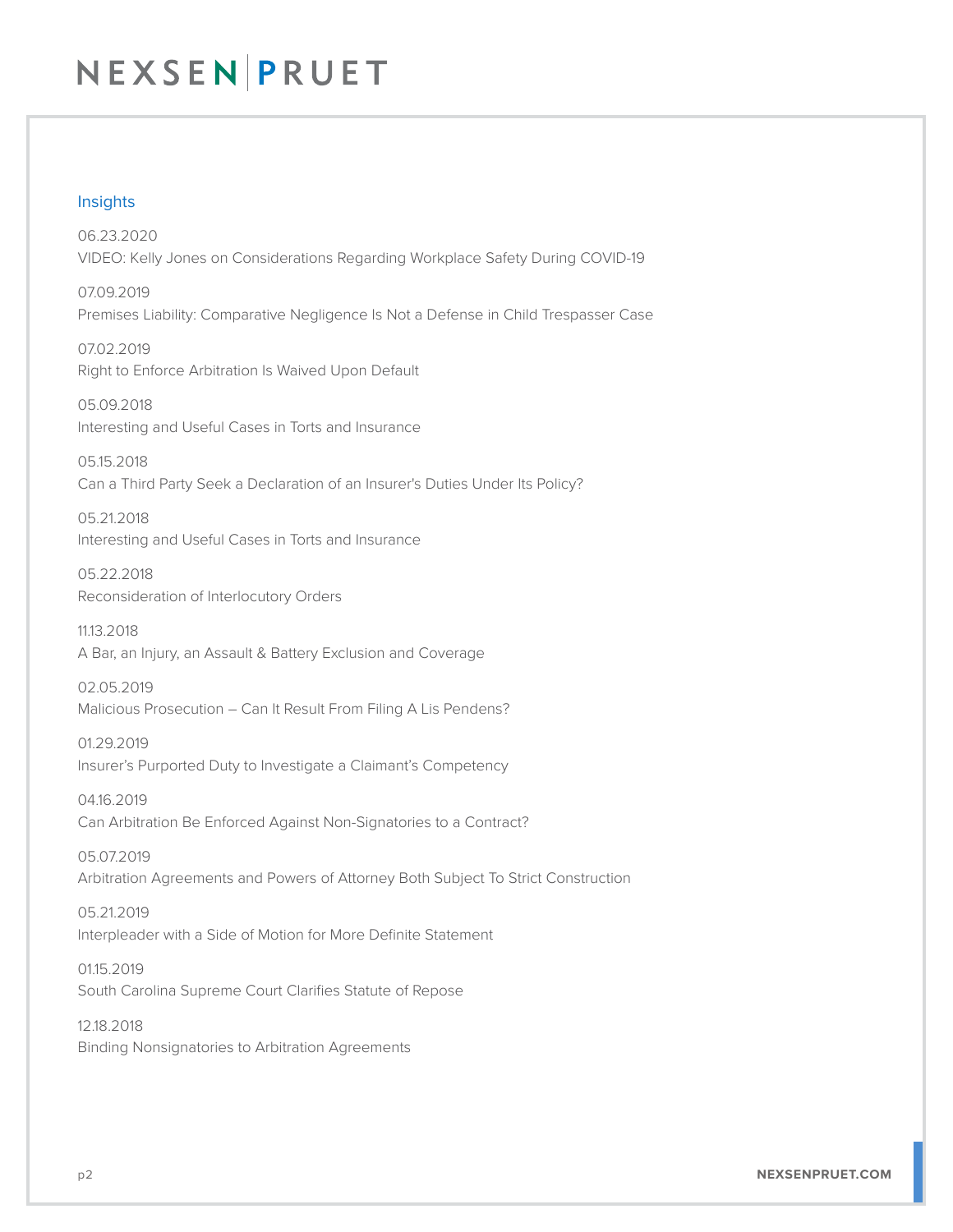## NEXSEN PRUET

#### Insights

06.23.2020 VIDEO: Kelly Jones on Considerations Regarding Workplace Safety During COVID-19

07.09.2019 Premises Liability: Comparative Negligence Is Not a Defense in Child Trespasser Case

07.02.2019 Right to Enforce Arbitration Is Waived Upon Default

05.09.2018 Interesting and Useful Cases in Torts and Insurance

05.15.2018 Can a Third Party Seek a Declaration of an Insurer's Duties Under Its Policy?

05.21.2018 Interesting and Useful Cases in Torts and Insurance

05.22.2018 Reconsideration of Interlocutory Orders

11.13.2018 A Bar, an Injury, an Assault & Battery Exclusion and Coverage

02.05.2019 Malicious Prosecution – Can It Result From Filing A Lis Pendens?

01.29.2019 Insurer's Purported Duty to Investigate a Claimant's Competency

04.16.2019 Can Arbitration Be Enforced Against Non-Signatories to a Contract?

05.07.2019 Arbitration Agreements and Powers of Attorney Both Subject To Strict Construction

05.21.2019 Interpleader with a Side of Motion for More Definite Statement

01.15.2019 South Carolina Supreme Court Clarifies Statute of Repose

12.18.2018 Binding Nonsignatories to Arbitration Agreements